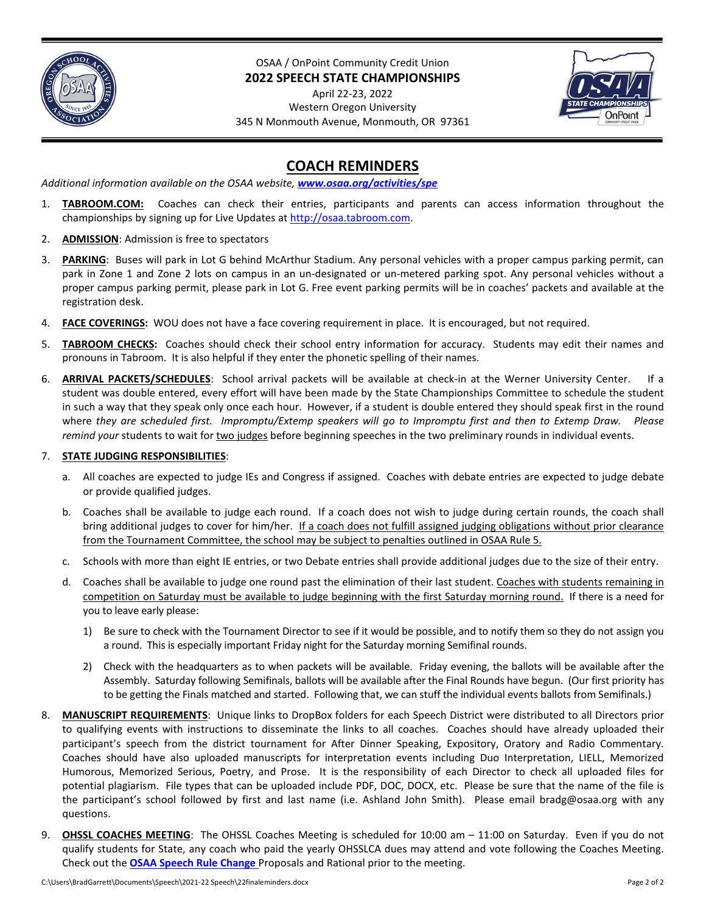

OSAA / OnPoint Community Credit Union **2022 SPEECH STATE CHAMPIONSHIPS**

April 22-23, 2022 Western Oregon University 345 N Monmouth Avenue, Monmouth, OR 97361



## **COACH REMINDERS**

*Additional information available on the OSAA website, [www.osaa.org/activities/spe](http://www.osaa.org/activities/spe)*

- 1. **TABROOM.COM:** Coaches can check their entries, participants and parents can access information throughout the championships by signing up for Live Updates a[t http://osaa.tabroom.com.](http://osaa.tabroom.com/)
- 2. **ADMISSION**: Admission is free to spectators
- 3. **PARKING**: Buses will park in Lot G behind McArthur Stadium. Any personal vehicles with a proper campus parking permit, can park in Zone 1 and Zone 2 lots on campus in an un-designated or un-metered parking spot. Any personal vehicles without a proper campus parking permit, please park in Lot G. Free event parking permits will be in coaches' packets and available at the registration desk.
- 4. **FACE COVERINGS:** WOU does not have a face covering requirement in place. It is encouraged, but not required.
- 5. **TABROOM CHECKS:** Coaches should check their school entry information for accuracy. Students may edit their names and pronouns in Tabroom. It is also helpful if they enter the phonetic spelling of their names.
- 6. **ARRIVAL PACKETS/SCHEDULES**: School arrival packets will be available at check-in at the Werner University Center. If a student was double entered, every effort will have been made by the State Championships Committee to schedule the student in such a way that they speak only once each hour. However, if a student is double entered they should speak first in the round where *they are scheduled first. Impromptu/Extemp speakers will go to Impromptu first and then to Extemp Draw. Please remind your* students to wait for two judges before beginning speeches in the two preliminary rounds in individual events.

## 7. **STATE JUDGING RESPONSIBILITIES**:

- a. All coaches are expected to judge IEs and Congress if assigned. Coaches with debate entries are expected to judge debate or provide qualified judges.
- b. Coaches shall be available to judge each round. If a coach does not wish to judge during certain rounds, the coach shall bring additional judges to cover for him/her. If a coach does not fulfill assigned judging obligations without prior clearance from the Tournament Committee, the school may be subject to penalties outlined in OSAA Rule 5.
- c. Schools with more than eight IE entries, or two Debate entries shall provide additional judges due to the size of their entry.
- d. Coaches shall be available to judge one round past the elimination of their last student. Coaches with students remaining in competition on Saturday must be available to judge beginning with the first Saturday morning round. If there is a need for you to leave early please:
	- 1) Be sure to check with the Tournament Director to see if it would be possible, and to notify them so they do not assign you a round. This is especially important Friday night for the Saturday morning Semifinal rounds.
	- 2) Check with the headquarters as to when packets will be available. Friday evening, the ballots will be available after the Assembly. Saturday following Semifinals, ballots will be available after the Final Rounds have begun. (Our first priority has to be getting the Finals matched and started. Following that, we can stuff the individual events ballots from Semifinals.)
- 8. **MANUSCRIPT REQUIREMENTS**: Unique links to DropBox folders for each Speech District were distributed to all Directors prior to qualifying events with instructions to disseminate the links to all coaches. Coaches should have already uploaded their participant's speech from the district tournament for After Dinner Speaking, Expository, Oratory and Radio Commentary. Coaches should have also uploaded manuscripts for interpretation events including Duo Interpretation, LIELL, Memorized Humorous, Memorized Serious, Poetry, and Prose. It is the responsibility of each Director to check all uploaded files for potential plagiarism. File types that can be uploaded include PDF, DOC, DOCX, etc. Please be sure that the name of the file is the participant's school followed by first and last name (i.e. Ashland John Smith). Please email bradg@osaa.org with any questions.
- 9. **OHSSL COACHES MEETING**: The OHSSL Coaches Meeting is scheduled for 10:00 am 11:00 on Saturday. Even if you do not qualify students for State, any coach who paid the yearly OHSSLCA dues may attend and vote following the Coaches Meeting. Check out the **[OSAA Speech Rule Change](https://docs.google.com/document/d/1O3XOAD4t6lbfFxhjucxm3cN_JAx5BZk9j7pjQcoZeAQ/edit)** Proposals and Rational prior to the meeting.